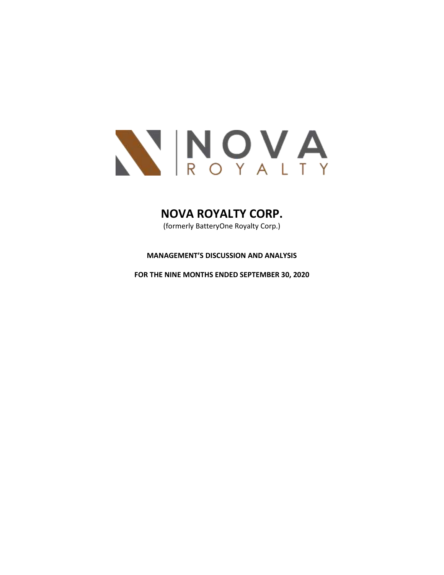

# **NOVA ROYALTY CORP.**

(formerly BatteryOne Royalty Corp.)

# **MANAGEMENT'S DISCUSSION AND ANALYSIS**

**FOR THE NINE MONTHS ENDED SEPTEMBER 30, 2020**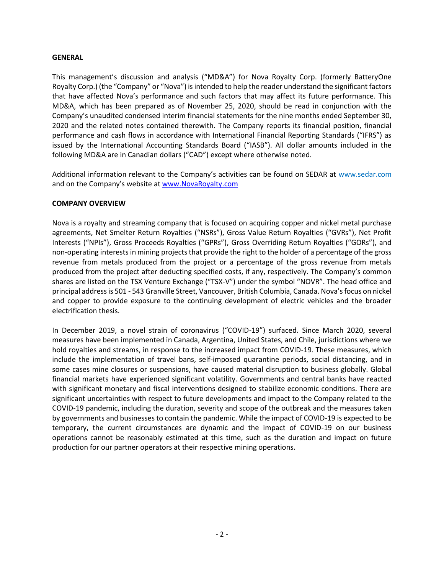#### **GENERAL**

This management's discussion and analysis ("MD&A") for Nova Royalty Corp. (formerly BatteryOne Royalty Corp.) (the "Company" or "Nova") is intended to help the reader understand the significant factors that have affected Nova's performance and such factors that may affect its future performance. This MD&A, which has been prepared as of November 25, 2020, should be read in conjunction with the Company's unaudited condensed interim financial statements for the nine months ended September 30, 2020 and the related notes contained therewith. The Company reports its financial position, financial performance and cash flows in accordance with International Financial Reporting Standards ("IFRS") as issued by the International Accounting Standards Board ("IASB"). All dollar amounts included in the following MD&A are in Canadian dollars ("CAD") except where otherwise noted.

Additional information relevant to the Company's activities can be found on SEDAR at [www.sedar.com](http://www.sedar.com/) and on the Company's website a[t www.NovaRoyalty.com](http://www.novaroyalty.com/)

## **COMPANY OVERVIEW**

Nova is a royalty and streaming company that is focused on acquiring copper and nickel metal purchase agreements, Net Smelter Return Royalties ("NSRs"), Gross Value Return Royalties ("GVRs"), Net Profit Interests ("NPIs"), Gross Proceeds Royalties ("GPRs"), Gross Overriding Return Royalties ("GORs"), and non-operating interests in mining projects that provide the right to the holder of a percentage of the gross revenue from metals produced from the project or a percentage of the gross revenue from metals produced from the project after deducting specified costs, if any, respectively. The Company's common shares are listed on the TSX Venture Exchange ("TSX-V") under the symbol "NOVR". The head office and principal address is 501 - 543 Granville Street, Vancouver, British Columbia, Canada. Nova's focus on nickel and copper to provide exposure to the continuing development of electric vehicles and the broader electrification thesis.

In December 2019, a novel strain of coronavirus ("COVID-19") surfaced. Since March 2020, several measures have been implemented in Canada, Argentina, United States, and Chile, jurisdictions where we hold royalties and streams, in response to the increased impact from COVID-19. These measures, which include the implementation of travel bans, self-imposed quarantine periods, social distancing, and in some cases mine closures or suspensions, have caused material disruption to business globally. Global financial markets have experienced significant volatility. Governments and central banks have reacted with significant monetary and fiscal interventions designed to stabilize economic conditions. There are significant uncertainties with respect to future developments and impact to the Company related to the COVID-19 pandemic, including the duration, severity and scope of the outbreak and the measures taken by governments and businesses to contain the pandemic. While the impact of COVID-19 is expected to be temporary, the current circumstances are dynamic and the impact of COVID-19 on our business operations cannot be reasonably estimated at this time, such as the duration and impact on future production for our partner operators at their respective mining operations.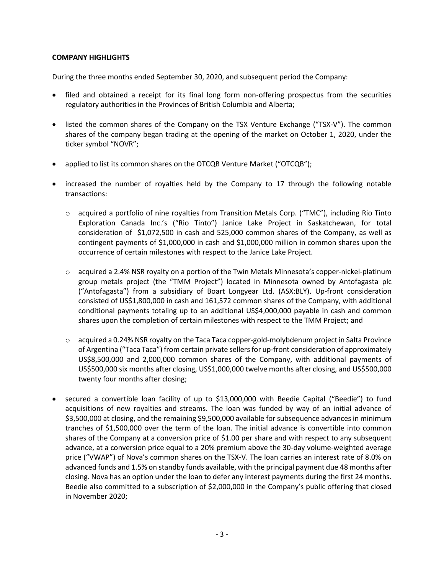## **COMPANY HIGHLIGHTS**

During the three months ended September 30, 2020, and subsequent period the Company:

- filed and obtained a receipt for its final long form non-offering prospectus from the securities regulatory authorities in the Provinces of British Columbia and Alberta;
- listed the common shares of the Company on the TSX Venture Exchange ("TSX-V"). The common shares of the company began trading at the opening of the market on October 1, 2020, under the ticker symbol "NOVR";
- applied to list its common shares on the OTCQB Venture Market ("OTCQB");
- increased the number of royalties held by the Company to 17 through the following notable transactions:
	- $\circ$  acquired a portfolio of nine royalties from Transition Metals Corp. ("TMC"), including Rio Tinto Exploration Canada Inc.'s ("Rio Tinto") Janice Lake Project in Saskatchewan, for total consideration of \$1,072,500 in cash and 525,000 common shares of the Company, as well as contingent payments of \$1,000,000 in cash and \$1,000,000 million in common shares upon the occurrence of certain milestones with respect to the Janice Lake Project.
	- $\circ$  acquired a 2.4% NSR royalty on a portion of the Twin Metals Minnesota's copper-nickel-platinum group metals project (the "TMM Project") located in Minnesota owned by Antofagasta plc ("Antofagasta") from a subsidiary of Boart Longyear Ltd. (ASX:BLY). Up-front consideration consisted of US\$1,800,000 in cash and 161,572 common shares of the Company, with additional conditional payments totaling up to an additional US\$4,000,000 payable in cash and common shares upon the completion of certain milestones with respect to the TMM Project; and
	- $\circ$  acquired a 0.24% NSR royalty on the Taca Taca copper-gold-molybdenum project in Salta Province of Argentina ("Taca Taca") from certain private sellers for up-front consideration of approximately US\$8,500,000 and 2,000,000 common shares of the Company, with additional payments of US\$500,000 six months after closing, US\$1,000,000 twelve months after closing, and US\$500,000 twenty four months after closing;
- secured a convertible loan facility of up to \$13,000,000 with Beedie Capital ("Beedie") to fund acquisitions of new royalties and streams. The loan was funded by way of an initial advance of \$3,500,000 at closing, and the remaining \$9,500,000 available for subsequence advances in minimum tranches of \$1,500,000 over the term of the loan. The initial advance is convertible into common shares of the Company at a conversion price of \$1.00 per share and with respect to any subsequent advance, at a conversion price equal to a 20% premium above the 30-day volume-weighted average price ("VWAP") of Nova's common shares on the TSX-V. The loan carries an interest rate of 8.0% on advanced funds and 1.5% on standby funds available, with the principal payment due 48 months after closing. Nova has an option under the loan to defer any interest payments during the first 24 months. Beedie also committed to a subscription of \$2,000,000 in the Company's public offering that closed in November 2020;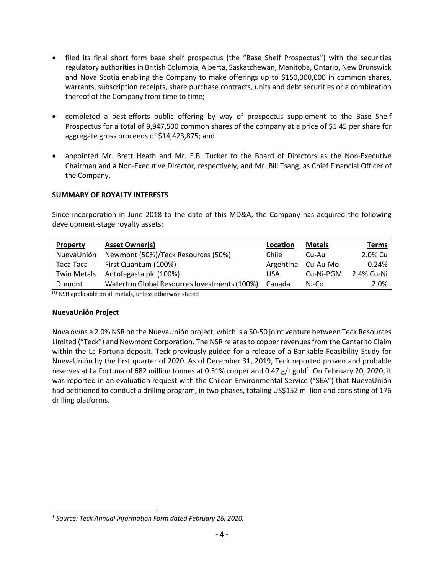- filed its final short form base shelf prospectus (the "Base Shelf Prospectus") with the securities regulatory authorities in British Columbia, Alberta, Saskatchewan, Manitoba, Ontario, New Brunswick and Nova Scotia enabling the Company to make offerings up to \$150,000,000 in common shares, warrants, subscription receipts, share purchase contracts, units and debt securities or a combination thereof of the Company from time to time;
- completed a best-efforts public offering by way of prospectus supplement to the Base Shelf Prospectus for a total of 9,947,500 common shares of the company at a price of \$1.45 per share for aggregate gross proceeds of \$14,423,875; and
- appointed Mr. Brett Heath and Mr. E.B. Tucker to the Board of Directors as the Non-Executive Chairman and a Non-Executive Director, respectively, and Mr. Bill Tsang, as Chief Financial Officer of the Company.

# **SUMMARY OF ROYALTY INTERESTS**

Since incorporation in June 2018 to the date of this MD&A, the Company has acquired the following development-stage royalty assets:

| <b>Asset Owner(s)</b>                        | Location  | <b>Metals</b> | Terms      |
|----------------------------------------------|-----------|---------------|------------|
| Newmont (50%)/Teck Resources (50%)           | Chile     | Cu-Au         | 2.0% Cu    |
| First Quantum (100%)                         | Argentina | Cu-Au-Mo      | 0.24%      |
| Antofagasta plc (100%)                       | USA       | Cu-Ni-PGM     | 2.4% Cu-Ni |
| Waterton Global Resources Investments (100%) | Canada    | Ni-Co         | 2.0%       |
|                                              |           |               |            |

(1) NSR applicable on all metals, unless otherwise stated

## **NuevaUnión Project**

Nova owns a 2.0% NSR on the NuevaUnión project, which is a 50-50 joint venture between Teck Resources Limited ("Teck") and Newmont Corporation. The NSR relates to copper revenues from the Cantarito Claim within the La Fortuna deposit. Teck previously guided for a release of a Bankable Feasibility Study for NuevaUnión by the first quarter of 2020. As of December 31, 2019, Teck reported proven and probable reserves at La Fortuna of 682 million tonnes at 0.51% copper and 0.47 g/t gold<sup>1</sup>. On February 20, 2020, it was reported in an evaluation request with the Chilean Environmental Service ("SEA") that NuevaUnión had petitioned to conduct a drilling program, in two phases, totaling US\$152 million and consisting of 176 drilling platforms.

<sup>&</sup>lt;sup>1</sup> Source: Teck Annual Information Form dated February 26, 2020.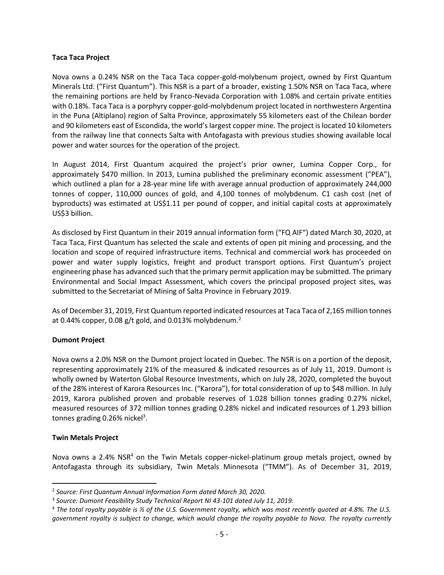#### **Taca Taca Project**

Nova owns a 0.24% NSR on the Taca Taca copper-gold-molybenum project, owned by First Quantum Minerals Ltd. ("First Quantum"). This NSR is a part of a broader, existing 1.50% NSR on Taca Taca, where the remaining portions are held by Franco-Nevada Corporation with 1.08% and certain private entities with 0.18%. Taca Taca is a porphyry copper-gold-molybdenum project located in northwestern Argentina in the Puna (Altiplano) region of Salta Province, approximately 55 kilometers east of the Chilean border and 90 kilometers east of Escondida, the world's largest copper mine. The project is located 10 kilometers from the railway line that connects Salta with Antofagasta with previous studies showing available local power and water sources for the operation of the project.

In August 2014, First Quantum acquired the project's prior owner, Lumina Copper Corp., for approximately \$470 million. In 2013, Lumina published the preliminary economic assessment ("PEA"), which outlined a plan for a 28-year mine life with average annual production of approximately 244,000 tonnes of copper, 110,000 ounces of gold, and 4,100 tonnes of molybdenum. C1 cash cost (net of byproducts) was estimated at US\$1.11 per pound of copper, and initial capital costs at approximately US\$3 billion.

As disclosed by First Quantum in their 2019 annual information form ("FQ AIF") dated March 30, 2020, at Taca Taca, First Quantum has selected the scale and extents of open pit mining and processing, and the location and scope of required infrastructure items. Technical and commercial work has proceeded on power and water supply logistics, freight and product transport options. First Quantum's project engineering phase has advanced such that the primary permit application may be submitted. The primary Environmental and Social Impact Assessment, which covers the principal proposed project sites, was submitted to the Secretariat of Mining of Salta Province in February 2019.

As of December 31, 2019, First Quantum reported indicated resources at Taca Taca of 2,165 million tonnes at 0.44% copper, 0.08 g/t gold, and 0.013% molybdenum.<sup>2</sup>

## **Dumont Project**

Nova owns a 2.0% NSR on the Dumont project located in Quebec. The NSR is on a portion of the deposit, representing approximately 21% of the measured & indicated resources as of July 11, 2019. Dumont is wholly owned by Waterton Global Resource Investments, which on July 28, 2020, completed the buyout of the 28% interest of Karora Resources Inc. ("Karora"), for total consideration of up to \$48 million. In July 2019, Karora published proven and probable reserves of 1.028 billion tonnes grading 0.27% nickel, measured resources of 372 million tonnes grading 0.28% nickel and indicated resources of 1.293 billion tonnes grading 0.26% nickel<sup>3</sup>.

## **Twin Metals Project**

Nova owns a 2.4% NSR<sup>4</sup> on the Twin Metals copper-nickel-platinum group metals project, owned by Antofagasta through its subsidiary, Twin Metals Minnesota ("TMM"). As of December 31, 2019,

<sup>2</sup> *Source: First Quantum Annual Information Form dated March 30, 2020.*

<sup>3</sup> *Source: Dumont Feasibility Study Technical Report NI 43-101 dated July 11, 2019.*

<sup>4</sup> *The total royalty payable is ½ of the U.S. Government royalty, which was most recently quoted at 4.8%. The U.S. government royalty is subject to change, which would change the royalty payable to Nova. The royalty currently*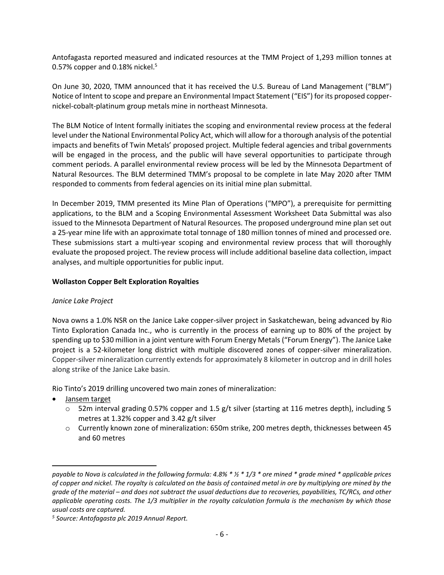Antofagasta reported measured and indicated resources at the TMM Project of 1,293 million tonnes at 0.57% copper and 0.18% nickel. $5$ 

On June 30, 2020, TMM announced that it has received the U.S. Bureau of Land Management ("BLM") Notice of Intent to scope and prepare an Environmental Impact Statement ("EIS") for its proposed coppernickel-cobalt-platinum group metals mine in northeast Minnesota.

The BLM Notice of Intent formally initiates the scoping and environmental review process at the federal level under the National Environmental Policy Act, which will allow for a thorough analysis of the potential impacts and benefits of Twin Metals' proposed project. Multiple federal agencies and tribal governments will be engaged in the process, and the public will have several opportunities to participate through comment periods. A parallel environmental review process will be led by the Minnesota Department of Natural Resources. The BLM determined TMM's proposal to be complete in late May 2020 after TMM responded to comments from federal agencies on its initial mine plan submittal.

In December 2019, TMM presented its Mine Plan of Operations ("MPO"), a prerequisite for permitting applications, to the BLM and a Scoping Environmental Assessment Worksheet Data Submittal was also issued to the Minnesota Department of Natural Resources. The proposed underground mine plan set out a 25-year mine life with an approximate total tonnage of 180 million tonnes of mined and processed ore. These submissions start a multi-year scoping and environmental review process that will thoroughly evaluate the proposed project. The review process will include additional baseline data collection, impact analyses, and multiple opportunities for public input.

## **Wollaston Copper Belt Exploration Royalties**

## *Janice Lake Project*

Nova owns a 1.0% NSR on the Janice Lake copper-silver project in Saskatchewan, being advanced by Rio Tinto Exploration Canada Inc., who is currently in the process of earning up to 80% of the project by spending up to \$30 million in a joint venture with Forum Energy Metals ("Forum Energy"). The Janice Lake project is a 52-kilometer long district with multiple discovered zones of copper-silver mineralization. Copper-silver mineralization currently extends for approximately 8 kilometer in outcrop and in drill holes along strike of the Janice Lake basin.

Rio Tinto's 2019 drilling uncovered two main zones of mineralization:

- Jansem target
	- $\circ$  52m interval grading 0.57% copper and 1.5 g/t silver (starting at 116 metres depth), including 5 metres at 1.32% copper and 3.42 g/t silver
	- o Currently known zone of mineralization: 650m strike, 200 metres depth, thicknesses between 45 and 60 metres

*payable to Nova is calculated in the following formula: 4.8% \* ½ \* 1/3 \* ore mined \* grade mined \* applicable prices of copper and nickel. The royalty is calculated on the basis of contained metal in ore by multiplying ore mined by the grade of the material – and does not subtract the usual deductions due to recoveries, payabilities, TC/RCs, and other applicable operating costs. The 1/3 multiplier in the royalty calculation formula is the mechanism by which those usual costs are captured.* 

*<sup>5</sup> Source: Antofagasta plc 2019 Annual Report.*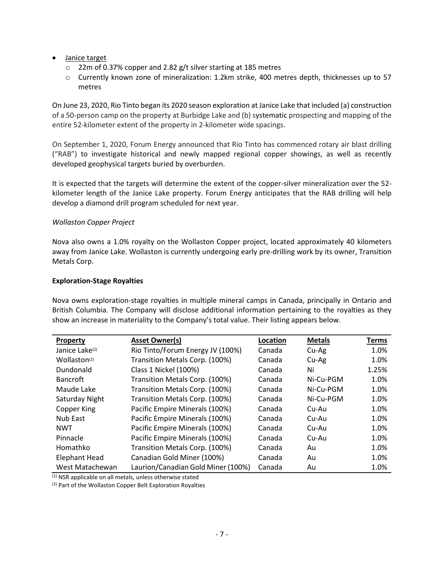- **Janice target** 
	- o 22m of 0.37% copper and 2.82 g/t silver starting at 185 metres
	- o Currently known zone of mineralization: 1.2km strike, 400 metres depth, thicknesses up to 57 metres

On June 23, 2020, Rio Tinto began its 2020 season exploration at Janice Lake that included (a) construction of a 50-person camp on the property at Burbidge Lake and (b) systematic prospecting and mapping of the entire 52-kilometer extent of the property in 2-kilometer wide spacings.

On September 1, 2020, Forum Energy announced that Rio Tinto has commenced rotary air blast drilling ("RAB") to investigate historical and newly mapped regional copper showings, as well as recently developed geophysical targets buried by overburden.

It is expected that the targets will determine the extent of the copper-silver mineralization over the 52 kilometer length of the Janice Lake property. Forum Energy anticipates that the RAB drilling will help develop a diamond drill program scheduled for next year.

# *Wollaston Copper Project*

Nova also owns a 1.0% royalty on the Wollaston Copper project, located approximately 40 kilometers away from Janice Lake. Wollaston is currently undergoing early pre-drilling work by its owner, Transition Metals Corp.

## **Exploration-Stage Royalties**

Nova owns exploration-stage royalties in multiple mineral camps in Canada, principally in Ontario and British Columbia. The Company will disclose additional information pertaining to the royalties as they show an increase in materiality to the Company's total value. Their listing appears below.

| <b>Property</b>            | <b>Asset Owner(s)</b>              | Location | <b>Metals</b> | Terms |
|----------------------------|------------------------------------|----------|---------------|-------|
| Janice Lake <sup>(2)</sup> | Rio Tinto/Forum Energy JV (100%)   | Canada   | Cu-Ag         | 1.0%  |
| Wollaston <sup>(2)</sup>   | Transition Metals Corp. (100%)     | Canada   | Cu-Ag         | 1.0%  |
| Dundonald                  | Class 1 Nickel (100%)              | Canada   | Ni            | 1.25% |
| <b>Bancroft</b>            | Transition Metals Corp. (100%)     | Canada   | Ni-Cu-PGM     | 1.0%  |
| Maude Lake                 | Transition Metals Corp. (100%)     | Canada   | Ni-Cu-PGM     | 1.0%  |
| Saturday Night             | Transition Metals Corp. (100%)     | Canada   | Ni-Cu-PGM     | 1.0%  |
| Copper King                | Pacific Empire Minerals (100%)     | Canada   | Cu-Au         | 1.0%  |
| Nub East                   | Pacific Empire Minerals (100%)     | Canada   | Cu-Au         | 1.0%  |
| <b>NWT</b>                 | Pacific Empire Minerals (100%)     | Canada   | Cu-Au         | 1.0%  |
| Pinnacle                   | Pacific Empire Minerals (100%)     | Canada   | Cu-Au         | 1.0%  |
| Homathko                   | Transition Metals Corp. (100%)     | Canada   | Au            | 1.0%  |
| <b>Elephant Head</b>       | Canadian Gold Miner (100%)         | Canada   | Au            | 1.0%  |
| West Matachewan            | Laurion/Canadian Gold Miner (100%) | Canada   | Au            | 1.0%  |

 $(1)$  NSR applicable on all metals, unless otherwise stated

(2) Part of the Wollaston Copper Belt Exploration Royalties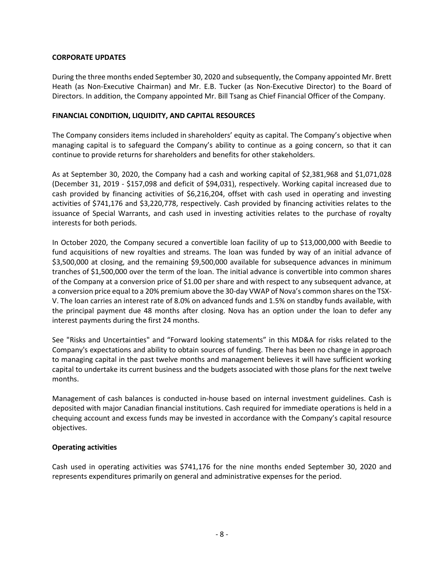## **CORPORATE UPDATES**

During the three months ended September 30, 2020 and subsequently, the Company appointed Mr. Brett Heath (as Non-Executive Chairman) and Mr. E.B. Tucker (as Non-Executive Director) to the Board of Directors. In addition, the Company appointed Mr. Bill Tsang as Chief Financial Officer of the Company.

## **FINANCIAL CONDITION, LIQUIDITY, AND CAPITAL RESOURCES**

The Company considers items included in shareholders' equity as capital. The Company's objective when managing capital is to safeguard the Company's ability to continue as a going concern, so that it can continue to provide returns for shareholders and benefits for other stakeholders.

As at September 30, 2020, the Company had a cash and working capital of \$2,381,968 and \$1,071,028 (December 31, 2019 - \$157,098 and deficit of \$94,031), respectively. Working capital increased due to cash provided by financing activities of \$6,216,204, offset with cash used in operating and investing activities of \$741,176 and \$3,220,778, respectively. Cash provided by financing activities relates to the issuance of Special Warrants, and cash used in investing activities relates to the purchase of royalty interests for both periods.

In October 2020, the Company secured a convertible loan facility of up to \$13,000,000 with Beedie to fund acquisitions of new royalties and streams. The loan was funded by way of an initial advance of \$3,500,000 at closing, and the remaining \$9,500,000 available for subsequence advances in minimum tranches of \$1,500,000 over the term of the loan. The initial advance is convertible into common shares of the Company at a conversion price of \$1.00 per share and with respect to any subsequent advance, at a conversion price equal to a 20% premium above the 30-day VWAP of Nova's common shares on the TSX-V. The loan carries an interest rate of 8.0% on advanced funds and 1.5% on standby funds available, with the principal payment due 48 months after closing. Nova has an option under the loan to defer any interest payments during the first 24 months.

See "Risks and Uncertainties" and "Forward looking statements" in this MD&A for risks related to the Company's expectations and ability to obtain sources of funding. There has been no change in approach to managing capital in the past twelve months and management believes it will have sufficient working capital to undertake its current business and the budgets associated with those plans for the next twelve months.

Management of cash balances is conducted in-house based on internal investment guidelines. Cash is deposited with major Canadian financial institutions. Cash required for immediate operations is held in a chequing account and excess funds may be invested in accordance with the Company's capital resource objectives.

## **Operating activities**

Cash used in operating activities was \$741,176 for the nine months ended September 30, 2020 and represents expenditures primarily on general and administrative expenses for the period.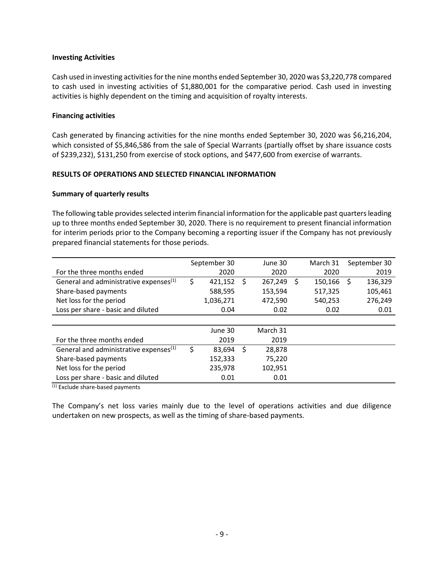#### **Investing Activities**

Cash used in investing activities for the nine months ended September 30, 2020 was \$3,220,778 compared to cash used in investing activities of \$1,880,001 for the comparative period. Cash used in investing activities is highly dependent on the timing and acquisition of royalty interests.

#### **Financing activities**

Cash generated by financing activities for the nine months ended September 30, 2020 was \$6,216,204, which consisted of \$5,846,586 from the sale of Special Warrants (partially offset by share issuance costs of \$239,232), \$131,250 from exercise of stock options, and \$477,600 from exercise of warrants.

#### **RESULTS OF OPERATIONS AND SELECTED FINANCIAL INFORMATION**

#### **Summary of quarterly results**

The following table provides selected interim financial information for the applicable past quarters leading up to three months ended September 30, 2020. There is no requirement to present financial information for interim periods prior to the Company becoming a reporting issuer if the Company has not previously prepared financial statements for those periods.

|                                                    | September 30 |           | June 30 |          |   | March 31 |   | September 30 |
|----------------------------------------------------|--------------|-----------|---------|----------|---|----------|---|--------------|
| For the three months ended                         |              | 2020      |         | 2020     |   | 2020     |   | 2019         |
| General and administrative expenses <sup>(1)</sup> | \$           | 421,152   | Ŝ.      | 267,249  | S | 150,166  | S | 136,329      |
| Share-based payments                               |              | 588,595   |         | 153,594  |   | 517,325  |   | 105,461      |
| Net loss for the period                            |              | 1,036,271 |         | 472,590  |   | 540,253  |   | 276,249      |
| Loss per share - basic and diluted                 |              | 0.04      |         | 0.02     |   | 0.02     |   | 0.01         |
|                                                    |              |           |         |          |   |          |   |              |
|                                                    |              | June 30   |         | March 31 |   |          |   |              |
| For the three months ended                         |              | 2019      |         | 2019     |   |          |   |              |
| General and administrative expenses <sup>(1)</sup> | \$           | 83,694    | \$      | 28,878   |   |          |   |              |
| Share-based payments                               |              | 152,333   |         | 75,220   |   |          |   |              |
| Net loss for the period                            |              | 235,978   |         | 102,951  |   |          |   |              |
| Loss per share - basic and diluted                 |              | 0.01      |         | 0.01     |   |          |   |              |

(1) Exclude share-based payments

The Company's net loss varies mainly due to the level of operations activities and due diligence undertaken on new prospects, as well as the timing of share-based payments.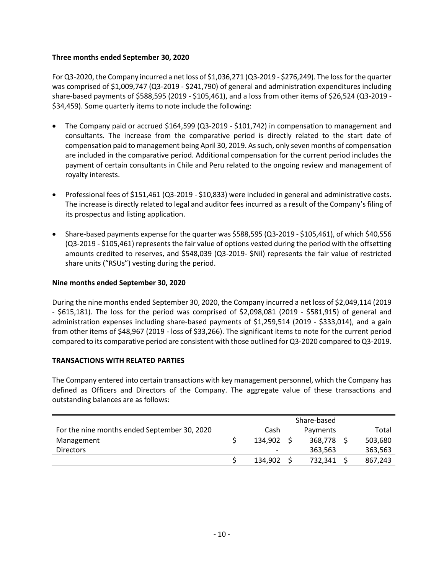## **Three months ended September 30, 2020**

For Q3-2020, the Company incurred a net loss of \$1,036,271 (Q3-2019 - \$276,249). The loss for the quarter was comprised of \$1,009,747 (Q3-2019 - \$241,790) of general and administration expenditures including share-based payments of \$588,595 (2019 - \$105,461), and a loss from other items of \$26,524 (Q3-2019 - \$34,459). Some quarterly items to note include the following:

- The Company paid or accrued \$164,599 (Q3-2019 \$101,742) in compensation to management and consultants. The increase from the comparative period is directly related to the start date of compensation paid to management being April 30, 2019. As such, only seven months of compensation are included in the comparative period. Additional compensation for the current period includes the payment of certain consultants in Chile and Peru related to the ongoing review and management of royalty interests.
- Professional fees of \$151,461 (Q3-2019 \$10,833) were included in general and administrative costs. The increase is directly related to legal and auditor fees incurred as a result of the Company's filing of its prospectus and listing application.
- Share-based payments expense for the quarter was \$588,595 (Q3-2019 \$105,461), of which \$40,556 (Q3-2019 - \$105,461) represents the fair value of options vested during the period with the offsetting amounts credited to reserves, and \$548,039 (Q3-2019- \$Nil) represents the fair value of restricted share units ("RSUs") vesting during the period.

#### **Nine months ended September 30, 2020**

During the nine months ended September 30, 2020, the Company incurred a net loss of \$2,049,114 (2019 - \$615,181). The loss for the period was comprised of \$2,098,081 (2019 - \$581,915) of general and administration expenses including share-based payments of \$1,259,514 (2019 - \$333,014), and a gain from other items of \$48,967 (2019 - loss of \$33,266). The significant items to note for the current period compared to its comparative period are consistent with those outlined for Q3-2020 compared to Q3-2019.

## **TRANSACTIONS WITH RELATED PARTIES**

The Company entered into certain transactions with key management personnel, which the Company has defined as Officers and Directors of the Company. The aggregate value of these transactions and outstanding balances are as follows:

| For the nine months ended September 30, 2020 | Cash                     | Payments | Total   |
|----------------------------------------------|--------------------------|----------|---------|
| Management                                   | 134.902                  | 368,778  | 503,680 |
| <b>Directors</b>                             | $\overline{\phantom{0}}$ | 363,563  | 363,563 |
|                                              | 134,902                  | 732,341  | 867,243 |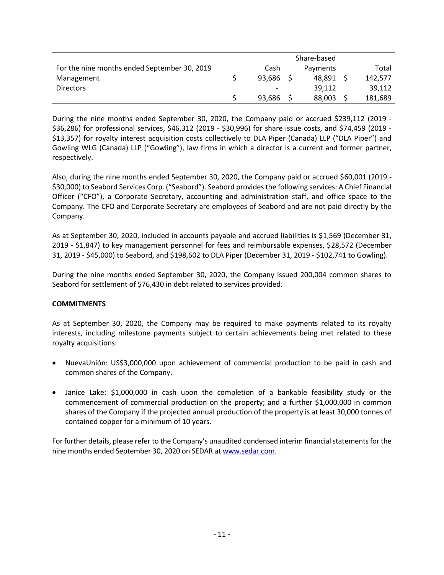|                                              | Share-based |  |          |  |         |
|----------------------------------------------|-------------|--|----------|--|---------|
| For the nine months ended September 30, 2019 | Cash        |  | Payments |  | Total   |
| Management                                   | 93,686      |  | 48.891   |  | 142,577 |
| <b>Directors</b>                             | -           |  | 39.112   |  | 39,112  |
|                                              | 93,686      |  | 88,003   |  | 181,689 |

During the nine months ended September 30, 2020, the Company paid or accrued \$239,112 (2019 - \$36,286) for professional services, \$46,312 (2019 - \$30,996) for share issue costs, and \$74,459 (2019 - \$13,357) for royalty interest acquisition costs collectively to DLA Piper (Canada) LLP ("DLA Piper") and Gowling WLG (Canada) LLP ("Gowling"), law firms in which a director is a current and former partner, respectively.

Also, during the nine months ended September 30, 2020, the Company paid or accrued \$60,001 (2019 - \$30,000) to Seabord Services Corp. ("Seabord"). Seabord provides the following services: A Chief Financial Officer ("CFO"), a Corporate Secretary, accounting and administration staff, and office space to the Company. The CFO and Corporate Secretary are employees of Seabord and are not paid directly by the Company.

As at September 30, 2020, included in accounts payable and accrued liabilities is \$1,569 (December 31, 2019 - \$1,847) to key management personnel for fees and reimbursable expenses, \$28,572 (December 31, 2019 - \$45,000) to Seabord, and \$198,602 to DLA Piper (December 31, 2019 - \$102,741 to Gowling).

During the nine months ended September 30, 2020, the Company issued 200,004 common shares to Seabord for settlement of \$76,430 in debt related to services provided.

# **COMMITMENTS**

As at September 30, 2020, the Company may be required to make payments related to its royalty interests, including milestone payments subject to certain achievements being met related to these royalty acquisitions:

- NuevaUnión: US\$3,000,000 upon achievement of commercial production to be paid in cash and common shares of the Company.
- Janice Lake: \$1,000,000 in cash upon the completion of a bankable feasibility study or the commencement of commercial production on the property; and a further \$1,000,000 in common shares of the Company if the projected annual production of the property is at least 30,000 tonnes of contained copper for a minimum of 10 years.

For further details, please refer to the Company's unaudited condensed interim financial statements for the nine months ended September 30, 2020 on SEDAR at [www.sedar.com.](http://www.sedar.com/)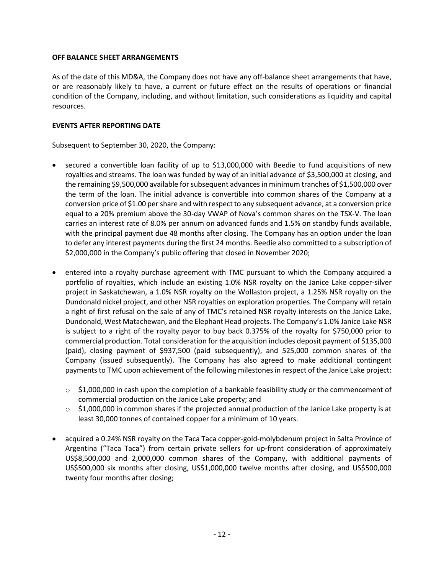## **OFF BALANCE SHEET ARRANGEMENTS**

As of the date of this MD&A, the Company does not have any off-balance sheet arrangements that have, or are reasonably likely to have, a current or future effect on the results of operations or financial condition of the Company, including, and without limitation, such considerations as liquidity and capital resources.

# **EVENTS AFTER REPORTING DATE**

Subsequent to September 30, 2020, the Company:

- secured a convertible loan facility of up to \$13,000,000 with Beedie to fund acquisitions of new royalties and streams. The loan was funded by way of an initial advance of \$3,500,000 at closing, and the remaining \$9,500,000 available for subsequent advances in minimum tranches of \$1,500,000 over the term of the loan. The initial advance is convertible into common shares of the Company at a conversion price of \$1.00 per share and with respect to any subsequent advance, at a conversion price equal to a 20% premium above the 30-day VWAP of Nova's common shares on the TSX-V. The loan carries an interest rate of 8.0% per annum on advanced funds and 1.5% on standby funds available, with the principal payment due 48 months after closing. The Company has an option under the loan to defer any interest payments during the first 24 months. Beedie also committed to a subscription of \$2,000,000 in the Company's public offering that closed in November 2020;
- entered into a royalty purchase agreement with TMC pursuant to which the Company acquired a portfolio of royalties, which include an existing 1.0% NSR royalty on the Janice Lake copper-silver project in Saskatchewan, a 1.0% NSR royalty on the Wollaston project, a 1.25% NSR royalty on the Dundonald nickel project, and other NSR royalties on exploration properties. The Company will retain a right of first refusal on the sale of any of TMC's retained NSR royalty interests on the Janice Lake, Dundonald, West Matachewan, and the Elephant Head projects. The Company's 1.0% Janice Lake NSR is subject to a right of the royalty payor to buy back 0.375% of the royalty for \$750,000 prior to commercial production. Total consideration for the acquisition includes deposit payment of \$135,000 (paid), closing payment of \$937,500 (paid subsequently), and 525,000 common shares of the Company (issued subsequently). The Company has also agreed to make additional contingent payments to TMC upon achievement of the following milestones in respect of the Janice Lake project:
	- $\circ$  \$1,000,000 in cash upon the completion of a bankable feasibility study or the commencement of commercial production on the Janice Lake property; and
	- o \$1,000,000 in common shares if the projected annual production of the Janice Lake property is at least 30,000 tonnes of contained copper for a minimum of 10 years.
- acquired a 0.24% NSR royalty on the Taca Taca copper-gold-molybdenum project in Salta Province of Argentina ("Taca Taca") from certain private sellers for up-front consideration of approximately US\$8,500,000 and 2,000,000 common shares of the Company, with additional payments of US\$500,000 six months after closing, US\$1,000,000 twelve months after closing, and US\$500,000 twenty four months after closing;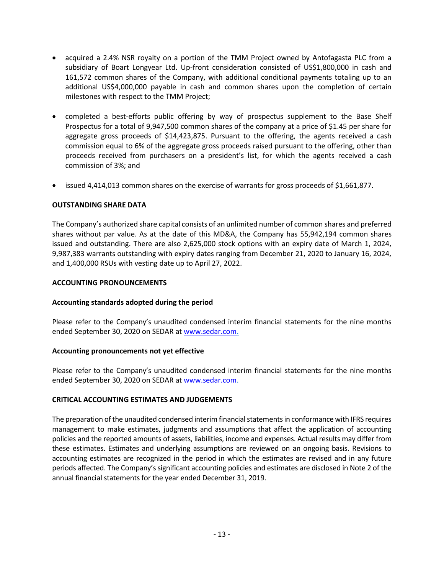- acquired a 2.4% NSR royalty on a portion of the TMM Project owned by Antofagasta PLC from a subsidiary of Boart Longyear Ltd. Up-front consideration consisted of US\$1,800,000 in cash and 161,572 common shares of the Company, with additional conditional payments totaling up to an additional US\$4,000,000 payable in cash and common shares upon the completion of certain milestones with respect to the TMM Project;
- completed a best-efforts public offering by way of prospectus supplement to the Base Shelf Prospectus for a total of 9,947,500 common shares of the company at a price of \$1.45 per share for aggregate gross proceeds of \$14,423,875. Pursuant to the offering, the agents received a cash commission equal to 6% of the aggregate gross proceeds raised pursuant to the offering, other than proceeds received from purchasers on a president's list, for which the agents received a cash commission of 3%; and
- issued 4,414,013 common shares on the exercise of warrants for gross proceeds of \$1,661,877.

# **OUTSTANDING SHARE DATA**

The Company's authorized share capital consists of an unlimited number of common shares and preferred shares without par value. As at the date of this MD&A, the Company has 55,942,194 common shares issued and outstanding. There are also 2,625,000 stock options with an expiry date of March 1, 2024, 9,987,383 warrants outstanding with expiry dates ranging from December 21, 2020 to January 16, 2024, and 1,400,000 RSUs with vesting date up to April 27, 2022.

## **ACCOUNTING PRONOUNCEMENTS**

## **Accounting standards adopted during the period**

Please refer to the Company's unaudited condensed interim financial statements for the nine months ended September 30, 2020 on SEDAR at [www.sedar.com.](http://www.sedar.com/)

## **Accounting pronouncements not yet effective**

Please refer to the Company's unaudited condensed interim financial statements for the nine months ended September 30, 2020 on SEDAR at [www.sedar.com.](http://www.sedar.com/)

## **CRITICAL ACCOUNTING ESTIMATES AND JUDGEMENTS**

The preparation of the unaudited condensed interim financial statements in conformance with IFRS requires management to make estimates, judgments and assumptions that affect the application of accounting policies and the reported amounts of assets, liabilities, income and expenses. Actual results may differ from these estimates. Estimates and underlying assumptions are reviewed on an ongoing basis. Revisions to accounting estimates are recognized in the period in which the estimates are revised and in any future periods affected. The Company's significant accounting policies and estimates are disclosed in Note 2 of the annual financial statements for the year ended December 31, 2019.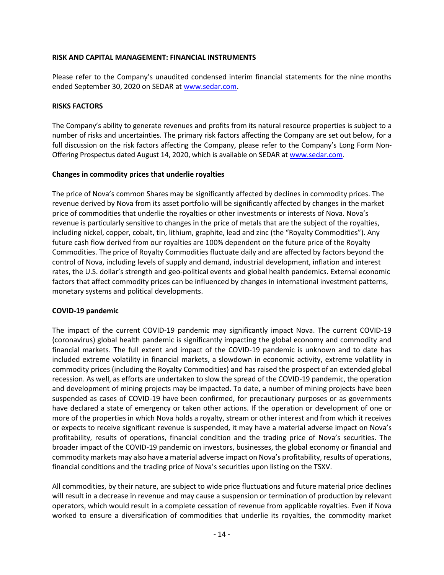#### **RISK AND CAPITAL MANAGEMENT: FINANCIAL INSTRUMENTS**

Please refer to the Company's unaudited condensed interim financial statements for the nine months ended September 30, 2020 on SEDAR at [www.sedar.com.](http://www.sedar.com/)

## **RISKS FACTORS**

The Company's ability to generate revenues and profits from its natural resource properties is subject to a number of risks and uncertainties. The primary risk factors affecting the Company are set out below, for a full discussion on the risk factors affecting the Company, please refer to the Company's Long Form Non-Offering Prospectus dated August 14, 2020, which is available on SEDAR a[t www.sedar.com.](http://www.sedar.com/)

#### **Changes in commodity prices that underlie royalties**

The price of Nova's common Shares may be significantly affected by declines in commodity prices. The revenue derived by Nova from its asset portfolio will be significantly affected by changes in the market price of commodities that underlie the royalties or other investments or interests of Nova. Nova's revenue is particularly sensitive to changes in the price of metals that are the subject of the royalties, including nickel, copper, cobalt, tin, lithium, graphite, lead and zinc (the "Royalty Commodities"). Any future cash flow derived from our royalties are 100% dependent on the future price of the Royalty Commodities. The price of Royalty Commodities fluctuate daily and are affected by factors beyond the control of Nova, including levels of supply and demand, industrial development, inflation and interest rates, the U.S. dollar's strength and geo-political events and global health pandemics. External economic factors that affect commodity prices can be influenced by changes in international investment patterns, monetary systems and political developments.

## **COVID-19 pandemic**

The impact of the current COVID-19 pandemic may significantly impact Nova. The current COVID-19 (coronavirus) global health pandemic is significantly impacting the global economy and commodity and financial markets. The full extent and impact of the COVID-19 pandemic is unknown and to date has included extreme volatility in financial markets, a slowdown in economic activity, extreme volatility in commodity prices (including the Royalty Commodities) and has raised the prospect of an extended global recession. As well, as efforts are undertaken to slow the spread of the COVID-19 pandemic, the operation and development of mining projects may be impacted. To date, a number of mining projects have been suspended as cases of COVID-19 have been confirmed, for precautionary purposes or as governments have declared a state of emergency or taken other actions. If the operation or development of one or more of the properties in which Nova holds a royalty, stream or other interest and from which it receives or expects to receive significant revenue is suspended, it may have a material adverse impact on Nova's profitability, results of operations, financial condition and the trading price of Nova's securities. The broader impact of the COVID-19 pandemic on investors, businesses, the global economy or financial and commodity markets may also have a material adverse impact on Nova's profitability, results of operations, financial conditions and the trading price of Nova's securities upon listing on the TSXV.

All commodities, by their nature, are subject to wide price fluctuations and future material price declines will result in a decrease in revenue and may cause a suspension or termination of production by relevant operators, which would result in a complete cessation of revenue from applicable royalties. Even if Nova worked to ensure a diversification of commodities that underlie its royalties, the commodity market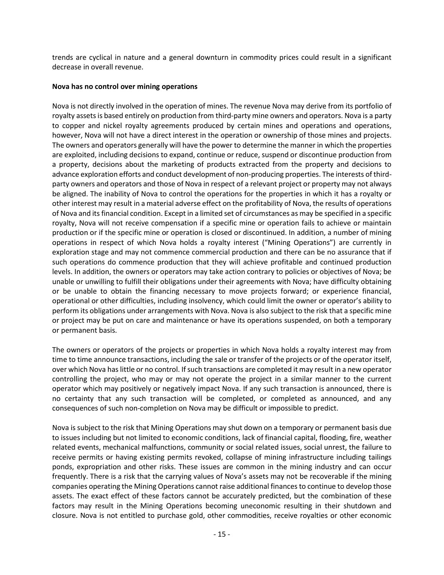trends are cyclical in nature and a general downturn in commodity prices could result in a significant decrease in overall revenue.

## **Nova has no control over mining operations**

Nova is not directly involved in the operation of mines. The revenue Nova may derive from its portfolio of royalty assets is based entirely on production from third-party mine owners and operators. Nova is a party to copper and nickel royalty agreements produced by certain mines and operations and operations, however, Nova will not have a direct interest in the operation or ownership of those mines and projects. The owners and operators generally will have the power to determine the manner in which the properties are exploited, including decisions to expand, continue or reduce, suspend or discontinue production from a property, decisions about the marketing of products extracted from the property and decisions to advance exploration efforts and conduct development of non-producing properties. The interests of thirdparty owners and operators and those of Nova in respect of a relevant project or property may not always be aligned. The inability of Nova to control the operations for the properties in which it has a royalty or other interest may result in a material adverse effect on the profitability of Nova, the results of operations of Nova and its financial condition. Except in a limited set of circumstances as may be specified in a specific royalty, Nova will not receive compensation if a specific mine or operation fails to achieve or maintain production or if the specific mine or operation is closed or discontinued. In addition, a number of mining operations in respect of which Nova holds a royalty interest ("Mining Operations") are currently in exploration stage and may not commence commercial production and there can be no assurance that if such operations do commence production that they will achieve profitable and continued production levels. In addition, the owners or operators may take action contrary to policies or objectives of Nova; be unable or unwilling to fulfill their obligations under their agreements with Nova; have difficulty obtaining or be unable to obtain the financing necessary to move projects forward; or experience financial, operational or other difficulties, including insolvency, which could limit the owner or operator's ability to perform its obligations under arrangements with Nova. Nova is also subject to the risk that a specific mine or project may be put on care and maintenance or have its operations suspended, on both a temporary or permanent basis.

The owners or operators of the projects or properties in which Nova holds a royalty interest may from time to time announce transactions, including the sale or transfer of the projects or of the operator itself, over which Nova has little or no control. If such transactions are completed it may result in a new operator controlling the project, who may or may not operate the project in a similar manner to the current operator which may positively or negatively impact Nova. If any such transaction is announced, there is no certainty that any such transaction will be completed, or completed as announced, and any consequences of such non-completion on Nova may be difficult or impossible to predict.

Nova is subject to the risk that Mining Operations may shut down on a temporary or permanent basis due to issues including but not limited to economic conditions, lack of financial capital, flooding, fire, weather related events, mechanical malfunctions, community or social related issues, social unrest, the failure to receive permits or having existing permits revoked, collapse of mining infrastructure including tailings ponds, expropriation and other risks. These issues are common in the mining industry and can occur frequently. There is a risk that the carrying values of Nova's assets may not be recoverable if the mining companies operating the Mining Operations cannot raise additional finances to continue to develop those assets. The exact effect of these factors cannot be accurately predicted, but the combination of these factors may result in the Mining Operations becoming uneconomic resulting in their shutdown and closure. Nova is not entitled to purchase gold, other commodities, receive royalties or other economic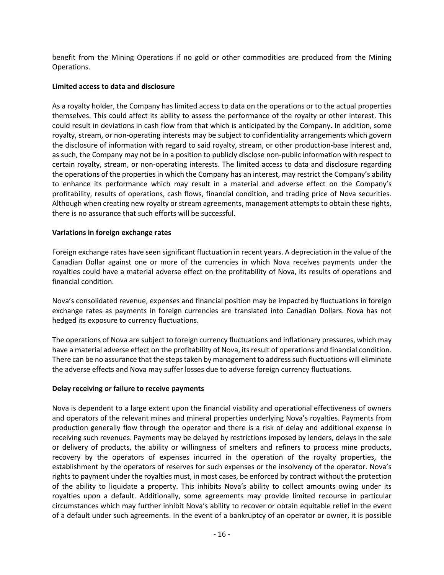benefit from the Mining Operations if no gold or other commodities are produced from the Mining Operations.

## **Limited access to data and disclosure**

As a royalty holder, the Company has limited access to data on the operations or to the actual properties themselves. This could affect its ability to assess the performance of the royalty or other interest. This could result in deviations in cash flow from that which is anticipated by the Company. In addition, some royalty, stream, or non-operating interests may be subject to confidentiality arrangements which govern the disclosure of information with regard to said royalty, stream, or other production-base interest and, as such, the Company may not be in a position to publicly disclose non-public information with respect to certain royalty, stream, or non-operating interests. The limited access to data and disclosure regarding the operations of the properties in which the Company has an interest, may restrict the Company's ability to enhance its performance which may result in a material and adverse effect on the Company's profitability, results of operations, cash flows, financial condition, and trading price of Nova securities. Although when creating new royalty or stream agreements, management attempts to obtain these rights, there is no assurance that such efforts will be successful.

## **Variations in foreign exchange rates**

Foreign exchange rates have seen significant fluctuation in recent years. A depreciation in the value of the Canadian Dollar against one or more of the currencies in which Nova receives payments under the royalties could have a material adverse effect on the profitability of Nova, its results of operations and financial condition.

Nova's consolidated revenue, expenses and financial position may be impacted by fluctuations in foreign exchange rates as payments in foreign currencies are translated into Canadian Dollars. Nova has not hedged its exposure to currency fluctuations.

The operations of Nova are subject to foreign currency fluctuations and inflationary pressures, which may have a material adverse effect on the profitability of Nova, its result of operations and financial condition. There can be no assurance that the steps taken by management to address such fluctuations will eliminate the adverse effects and Nova may suffer losses due to adverse foreign currency fluctuations.

## **Delay receiving or failure to receive payments**

Nova is dependent to a large extent upon the financial viability and operational effectiveness of owners and operators of the relevant mines and mineral properties underlying Nova's royalties. Payments from production generally flow through the operator and there is a risk of delay and additional expense in receiving such revenues. Payments may be delayed by restrictions imposed by lenders, delays in the sale or delivery of products, the ability or willingness of smelters and refiners to process mine products, recovery by the operators of expenses incurred in the operation of the royalty properties, the establishment by the operators of reserves for such expenses or the insolvency of the operator. Nova's rights to payment under the royalties must, in most cases, be enforced by contract without the protection of the ability to liquidate a property. This inhibits Nova's ability to collect amounts owing under its royalties upon a default. Additionally, some agreements may provide limited recourse in particular circumstances which may further inhibit Nova's ability to recover or obtain equitable relief in the event of a default under such agreements. In the event of a bankruptcy of an operator or owner, it is possible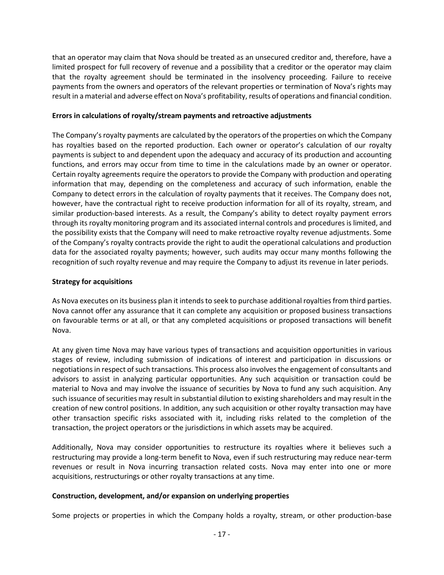that an operator may claim that Nova should be treated as an unsecured creditor and, therefore, have a limited prospect for full recovery of revenue and a possibility that a creditor or the operator may claim that the royalty agreement should be terminated in the insolvency proceeding. Failure to receive payments from the owners and operators of the relevant properties or termination of Nova's rights may result in a material and adverse effect on Nova's profitability, results of operations and financial condition.

## **Errors in calculations of royalty/stream payments and retroactive adjustments**

The Company's royalty payments are calculated by the operators of the properties on which the Company has royalties based on the reported production. Each owner or operator's calculation of our royalty payments is subject to and dependent upon the adequacy and accuracy of its production and accounting functions, and errors may occur from time to time in the calculations made by an owner or operator. Certain royalty agreements require the operators to provide the Company with production and operating information that may, depending on the completeness and accuracy of such information, enable the Company to detect errors in the calculation of royalty payments that it receives. The Company does not, however, have the contractual right to receive production information for all of its royalty, stream, and similar production-based interests. As a result, the Company's ability to detect royalty payment errors through its royalty monitoring program and its associated internal controls and procedures is limited, and the possibility exists that the Company will need to make retroactive royalty revenue adjustments. Some of the Company's royalty contracts provide the right to audit the operational calculations and production data for the associated royalty payments; however, such audits may occur many months following the recognition of such royalty revenue and may require the Company to adjust its revenue in later periods.

# **Strategy for acquisitions**

As Nova executes on its business plan it intends to seek to purchase additional royalties from third parties. Nova cannot offer any assurance that it can complete any acquisition or proposed business transactions on favourable terms or at all, or that any completed acquisitions or proposed transactions will benefit Nova.

At any given time Nova may have various types of transactions and acquisition opportunities in various stages of review, including submission of indications of interest and participation in discussions or negotiations in respect of such transactions. This process also involves the engagement of consultants and advisors to assist in analyzing particular opportunities. Any such acquisition or transaction could be material to Nova and may involve the issuance of securities by Nova to fund any such acquisition. Any such issuance of securities may result in substantial dilution to existing shareholders and may result in the creation of new control positions. In addition, any such acquisition or other royalty transaction may have other transaction specific risks associated with it, including risks related to the completion of the transaction, the project operators or the jurisdictions in which assets may be acquired.

Additionally, Nova may consider opportunities to restructure its royalties where it believes such a restructuring may provide a long-term benefit to Nova, even if such restructuring may reduce near-term revenues or result in Nova incurring transaction related costs. Nova may enter into one or more acquisitions, restructurings or other royalty transactions at any time.

# **Construction, development, and/or expansion on underlying properties**

Some projects or properties in which the Company holds a royalty, stream, or other production-base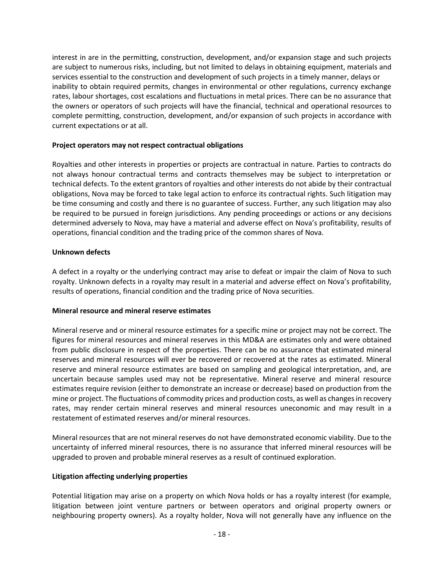interest in are in the permitting, construction, development, and/or expansion stage and such projects are subject to numerous risks, including, but not limited to delays in obtaining equipment, materials and services essential to the construction and development of such projects in a timely manner, delays or inability to obtain required permits, changes in environmental or other regulations, currency exchange rates, labour shortages, cost escalations and fluctuations in metal prices. There can be no assurance that the owners or operators of such projects will have the financial, technical and operational resources to complete permitting, construction, development, and/or expansion of such projects in accordance with current expectations or at all.

# **Project operators may not respect contractual obligations**

Royalties and other interests in properties or projects are contractual in nature. Parties to contracts do not always honour contractual terms and contracts themselves may be subject to interpretation or technical defects. To the extent grantors of royalties and other interests do not abide by their contractual obligations, Nova may be forced to take legal action to enforce its contractual rights. Such litigation may be time consuming and costly and there is no guarantee of success. Further, any such litigation may also be required to be pursued in foreign jurisdictions. Any pending proceedings or actions or any decisions determined adversely to Nova, may have a material and adverse effect on Nova's profitability, results of operations, financial condition and the trading price of the common shares of Nova.

# **Unknown defects**

A defect in a royalty or the underlying contract may arise to defeat or impair the claim of Nova to such royalty. Unknown defects in a royalty may result in a material and adverse effect on Nova's profitability, results of operations, financial condition and the trading price of Nova securities.

## **Mineral resource and mineral reserve estimates**

Mineral reserve and or mineral resource estimates for a specific mine or project may not be correct. The figures for mineral resources and mineral reserves in this MD&A are estimates only and were obtained from public disclosure in respect of the properties. There can be no assurance that estimated mineral reserves and mineral resources will ever be recovered or recovered at the rates as estimated. Mineral reserve and mineral resource estimates are based on sampling and geological interpretation, and, are uncertain because samples used may not be representative. Mineral reserve and mineral resource estimates require revision (either to demonstrate an increase or decrease) based on production from the mine or project. The fluctuations of commodity prices and production costs, as well as changes in recovery rates, may render certain mineral reserves and mineral resources uneconomic and may result in a restatement of estimated reserves and/or mineral resources.

Mineral resources that are not mineral reserves do not have demonstrated economic viability. Due to the uncertainty of inferred mineral resources, there is no assurance that inferred mineral resources will be upgraded to proven and probable mineral reserves as a result of continued exploration.

## **Litigation affecting underlying properties**

Potential litigation may arise on a property on which Nova holds or has a royalty interest (for example, litigation between joint venture partners or between operators and original property owners or neighbouring property owners). As a royalty holder, Nova will not generally have any influence on the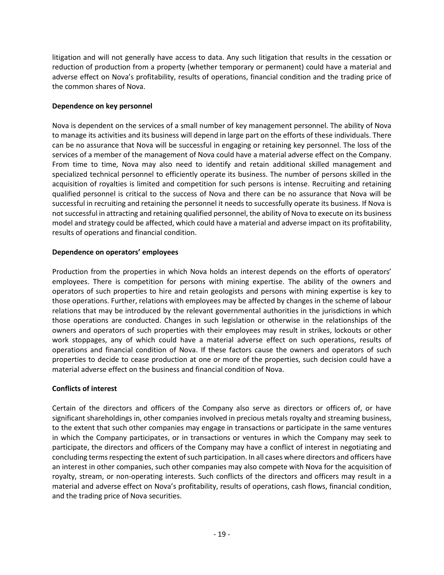litigation and will not generally have access to data. Any such litigation that results in the cessation or reduction of production from a property (whether temporary or permanent) could have a material and adverse effect on Nova's profitability, results of operations, financial condition and the trading price of the common shares of Nova.

# **Dependence on key personnel**

Nova is dependent on the services of a small number of key management personnel. The ability of Nova to manage its activities and its business will depend in large part on the efforts of these individuals. There can be no assurance that Nova will be successful in engaging or retaining key personnel. The loss of the services of a member of the management of Nova could have a material adverse effect on the Company. From time to time, Nova may also need to identify and retain additional skilled management and specialized technical personnel to efficiently operate its business. The number of persons skilled in the acquisition of royalties is limited and competition for such persons is intense. Recruiting and retaining qualified personnel is critical to the success of Nova and there can be no assurance that Nova will be successful in recruiting and retaining the personnel it needs to successfully operate its business. If Nova is not successful in attracting and retaining qualified personnel, the ability of Nova to execute on its business model and strategy could be affected, which could have a material and adverse impact on its profitability, results of operations and financial condition.

## **Dependence on operators' employees**

Production from the properties in which Nova holds an interest depends on the efforts of operators' employees. There is competition for persons with mining expertise. The ability of the owners and operators of such properties to hire and retain geologists and persons with mining expertise is key to those operations. Further, relations with employees may be affected by changes in the scheme of labour relations that may be introduced by the relevant governmental authorities in the jurisdictions in which those operations are conducted. Changes in such legislation or otherwise in the relationships of the owners and operators of such properties with their employees may result in strikes, lockouts or other work stoppages, any of which could have a material adverse effect on such operations, results of operations and financial condition of Nova. If these factors cause the owners and operators of such properties to decide to cease production at one or more of the properties, such decision could have a material adverse effect on the business and financial condition of Nova.

# **Conflicts of interest**

Certain of the directors and officers of the Company also serve as directors or officers of, or have significant shareholdings in, other companies involved in precious metals royalty and streaming business, to the extent that such other companies may engage in transactions or participate in the same ventures in which the Company participates, or in transactions or ventures in which the Company may seek to participate, the directors and officers of the Company may have a conflict of interest in negotiating and concluding terms respecting the extent of such participation. In all cases where directors and officers have an interest in other companies, such other companies may also compete with Nova for the acquisition of royalty, stream, or non-operating interests. Such conflicts of the directors and officers may result in a material and adverse effect on Nova's profitability, results of operations, cash flows, financial condition, and the trading price of Nova securities.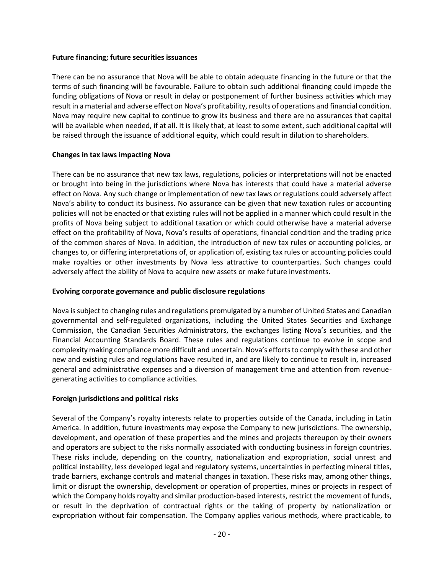#### **Future financing; future securities issuances**

There can be no assurance that Nova will be able to obtain adequate financing in the future or that the terms of such financing will be favourable. Failure to obtain such additional financing could impede the funding obligations of Nova or result in delay or postponement of further business activities which may result in a material and adverse effect on Nova's profitability, results of operations and financial condition. Nova may require new capital to continue to grow its business and there are no assurances that capital will be available when needed, if at all. It is likely that, at least to some extent, such additional capital will be raised through the issuance of additional equity, which could result in dilution to shareholders.

## **Changes in tax laws impacting Nova**

There can be no assurance that new tax laws, regulations, policies or interpretations will not be enacted or brought into being in the jurisdictions where Nova has interests that could have a material adverse effect on Nova. Any such change or implementation of new tax laws or regulations could adversely affect Nova's ability to conduct its business. No assurance can be given that new taxation rules or accounting policies will not be enacted or that existing rules will not be applied in a manner which could result in the profits of Nova being subject to additional taxation or which could otherwise have a material adverse effect on the profitability of Nova, Nova's results of operations, financial condition and the trading price of the common shares of Nova. In addition, the introduction of new tax rules or accounting policies, or changes to, or differing interpretations of, or application of, existing tax rules or accounting policies could make royalties or other investments by Nova less attractive to counterparties. Such changes could adversely affect the ability of Nova to acquire new assets or make future investments.

## **Evolving corporate governance and public disclosure regulations**

Nova is subject to changing rules and regulations promulgated by a number of United States and Canadian governmental and self-regulated organizations, including the United States Securities and Exchange Commission, the Canadian Securities Administrators, the exchanges listing Nova's securities, and the Financial Accounting Standards Board. These rules and regulations continue to evolve in scope and complexity making compliance more difficult and uncertain. Nova's efforts to comply with these and other new and existing rules and regulations have resulted in, and are likely to continue to result in, increased general and administrative expenses and a diversion of management time and attention from revenuegenerating activities to compliance activities.

# **Foreign jurisdictions and political risks**

Several of the Company's royalty interests relate to properties outside of the Canada, including in Latin America. In addition, future investments may expose the Company to new jurisdictions. The ownership, development, and operation of these properties and the mines and projects thereupon by their owners and operators are subject to the risks normally associated with conducting business in foreign countries. These risks include, depending on the country, nationalization and expropriation, social unrest and political instability, less developed legal and regulatory systems, uncertainties in perfecting mineral titles, trade barriers, exchange controls and material changes in taxation. These risks may, among other things, limit or disrupt the ownership, development or operation of properties, mines or projects in respect of which the Company holds royalty and similar production-based interests, restrict the movement of funds, or result in the deprivation of contractual rights or the taking of property by nationalization or expropriation without fair compensation. The Company applies various methods, where practicable, to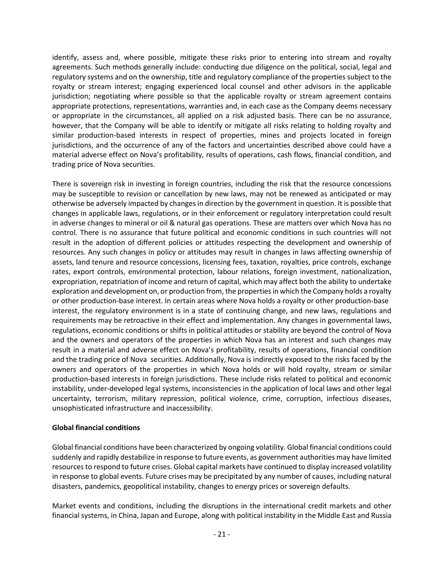identify, assess and, where possible, mitigate these risks prior to entering into stream and royalty agreements. Such methods generally include: conducting due diligence on the political, social, legal and regulatory systems and on the ownership, title and regulatory compliance of the properties subject to the royalty or stream interest; engaging experienced local counsel and other advisors in the applicable jurisdiction; negotiating where possible so that the applicable royalty or stream agreement contains appropriate protections, representations, warranties and, in each case as the Company deems necessary or appropriate in the circumstances, all applied on a risk adjusted basis. There can be no assurance, however, that the Company will be able to identify or mitigate all risks relating to holding royalty and similar production-based interests in respect of properties, mines and projects located in foreign jurisdictions, and the occurrence of any of the factors and uncertainties described above could have a material adverse effect on Nova's profitability, results of operations, cash flows, financial condition, and trading price of Nova securities.

There is sovereign risk in investing in foreign countries, including the risk that the resource concessions may be susceptible to revision or cancellation by new laws, may not be renewed as anticipated or may otherwise be adversely impacted by changes in direction by the government in question. It is possible that changes in applicable laws, regulations, or in their enforcement or regulatory interpretation could result in adverse changes to mineral or oil & natural gas operations. These are matters over which Nova has no control. There is no assurance that future political and economic conditions in such countries will not result in the adoption of different policies or attitudes respecting the development and ownership of resources. Any such changes in policy or attitudes may result in changes in laws affecting ownership of assets, land tenure and resource concessions, licensing fees, taxation, royalties, price controls, exchange rates, export controls, environmental protection, labour relations, foreign investment, nationalization, expropriation, repatriation of income and return of capital, which may affect both the ability to undertake exploration and development on, or production from, the properties in which the Company holds a royalty or other production-base interest. In certain areas where Nova holds a royalty or other production-base interest, the regulatory environment is in a state of continuing change, and new laws, regulations and requirements may be retroactive in their effect and implementation. Any changes in governmental laws, regulations, economic conditions or shifts in political attitudes or stability are beyond the control of Nova and the owners and operators of the properties in which Nova has an interest and such changes may result in a material and adverse effect on Nova's profitability, results of operations, financial condition and the trading price of Nova securities. Additionally, Nova is indirectly exposed to the risks faced by the owners and operators of the properties in which Nova holds or will hold royalty, stream or similar production-based interests in foreign jurisdictions. These include risks related to political and economic instability, under-developed legal systems, inconsistencies in the application of local laws and other legal uncertainty, terrorism, military repression, political violence, crime, corruption, infectious diseases, unsophisticated infrastructure and inaccessibility.

## **Global financial conditions**

Global financial conditions have been characterized by ongoing volatility. Global financial conditions could suddenly and rapidly destabilize in response to future events, as government authorities may have limited resources to respond to future crises. Global capital markets have continued to display increased volatility in response to global events. Future crises may be precipitated by any number of causes, including natural disasters, pandemics, geopolitical instability, changes to energy prices or sovereign defaults.

Market events and conditions, including the disruptions in the international credit markets and other financial systems, in China, Japan and Europe, along with political instability in the Middle East and Russia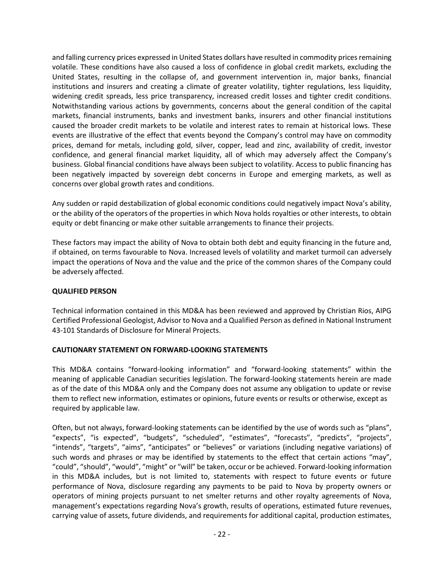and falling currency prices expressed in United States dollars have resulted in commodity prices remaining volatile. These conditions have also caused a loss of confidence in global credit markets, excluding the United States, resulting in the collapse of, and government intervention in, major banks, financial institutions and insurers and creating a climate of greater volatility, tighter regulations, less liquidity, widening credit spreads, less price transparency, increased credit losses and tighter credit conditions. Notwithstanding various actions by governments, concerns about the general condition of the capital markets, financial instruments, banks and investment banks, insurers and other financial institutions caused the broader credit markets to be volatile and interest rates to remain at historical lows. These events are illustrative of the effect that events beyond the Company's control may have on commodity prices, demand for metals, including gold, silver, copper, lead and zinc, availability of credit, investor confidence, and general financial market liquidity, all of which may adversely affect the Company's business. Global financial conditions have always been subject to volatility. Access to public financing has been negatively impacted by sovereign debt concerns in Europe and emerging markets, as well as concerns over global growth rates and conditions.

Any sudden or rapid destabilization of global economic conditions could negatively impact Nova's ability, or the ability of the operators of the properties in which Nova holds royalties or other interests, to obtain equity or debt financing or make other suitable arrangements to finance their projects.

These factors may impact the ability of Nova to obtain both debt and equity financing in the future and, if obtained, on terms favourable to Nova. Increased levels of volatility and market turmoil can adversely impact the operations of Nova and the value and the price of the common shares of the Company could be adversely affected.

# **QUALIFIED PERSON**

Technical information contained in this MD&A has been reviewed and approved by Christian Rios, AIPG Certified Professional Geologist, Advisor to Nova and a Qualified Person as defined in National Instrument 43-101 Standards of Disclosure for Mineral Projects.

## **CAUTIONARY STATEMENT ON FORWARD-LOOKING STATEMENTS**

This MD&A contains "forward-looking information" and "forward-looking statements" within the meaning of applicable Canadian securities legislation. The forward-looking statements herein are made as of the date of this MD&A only and the Company does not assume any obligation to update or revise them to reflect new information, estimates or opinions, future events or results or otherwise, except as required by applicable law.

Often, but not always, forward-looking statements can be identified by the use of words such as "plans", "expects", "is expected", "budgets", "scheduled", "estimates", "forecasts", "predicts", "projects", "intends", "targets", "aims", "anticipates" or "believes" or variations (including negative variations) of such words and phrases or may be identified by statements to the effect that certain actions "may", "could", "should", "would", "might" or "will" be taken, occur or be achieved. Forward-looking information in this MD&A includes, but is not limited to, statements with respect to future events or future performance of Nova, disclosure regarding any payments to be paid to Nova by property owners or operators of mining projects pursuant to net smelter returns and other royalty agreements of Nova, management's expectations regarding Nova's growth, results of operations, estimated future revenues, carrying value of assets, future dividends, and requirements for additional capital, production estimates,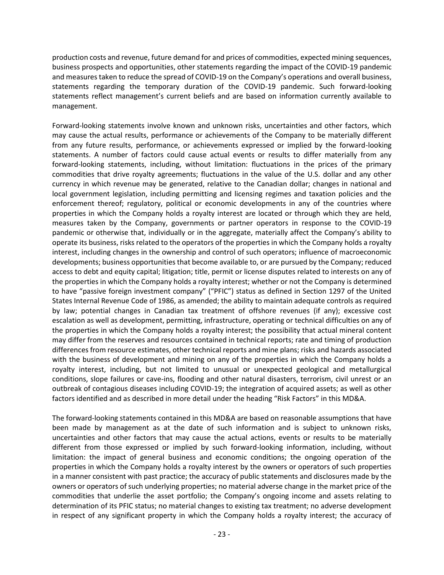production costs and revenue, future demand for and prices of commodities, expected mining sequences, business prospects and opportunities, other statements regarding the impact of the COVID-19 pandemic and measures taken to reduce the spread of COVID-19 on the Company's operations and overall business, statements regarding the temporary duration of the COVID-19 pandemic. Such forward-looking statements reflect management's current beliefs and are based on information currently available to management.

Forward-looking statements involve known and unknown risks, uncertainties and other factors, which may cause the actual results, performance or achievements of the Company to be materially different from any future results, performance, or achievements expressed or implied by the forward-looking statements. A number of factors could cause actual events or results to differ materially from any forward-looking statements, including, without limitation: fluctuations in the prices of the primary commodities that drive royalty agreements; fluctuations in the value of the U.S. dollar and any other currency in which revenue may be generated, relative to the Canadian dollar; changes in national and local government legislation, including permitting and licensing regimes and taxation policies and the enforcement thereof; regulatory, political or economic developments in any of the countries where properties in which the Company holds a royalty interest are located or through which they are held, measures taken by the Company, governments or partner operators in response to the COVID-19 pandemic or otherwise that, individually or in the aggregate, materially affect the Company's ability to operate its business, risks related to the operators of the properties in which the Company holds a royalty interest, including changes in the ownership and control of such operators; influence of macroeconomic developments; business opportunities that become available to, or are pursued by the Company; reduced access to debt and equity capital; litigation; title, permit or license disputes related to interests on any of the properties in which the Company holds a royalty interest; whether or not the Company is determined to have "passive foreign investment company" ("PFIC") status as defined in Section 1297 of the United States Internal Revenue Code of 1986, as amended; the ability to maintain adequate controls as required by law; potential changes in Canadian tax treatment of offshore revenues (if any); excessive cost escalation as well as development, permitting, infrastructure, operating or technical difficulties on any of the properties in which the Company holds a royalty interest; the possibility that actual mineral content may differ from the reserves and resources contained in technical reports; rate and timing of production differences from resource estimates, other technical reports and mine plans; risks and hazards associated with the business of development and mining on any of the properties in which the Company holds a royalty interest, including, but not limited to unusual or unexpected geological and metallurgical conditions, slope failures or cave-ins, flooding and other natural disasters, terrorism, civil unrest or an outbreak of contagious diseases including COVID-19; the integration of acquired assets; as well as other factors identified and as described in more detail under the heading "Risk Factors" in this MD&A.

The forward-looking statements contained in this MD&A are based on reasonable assumptions that have been made by management as at the date of such information and is subject to unknown risks, uncertainties and other factors that may cause the actual actions, events or results to be materially different from those expressed or implied by such forward-looking information, including, without limitation: the impact of general business and economic conditions; the ongoing operation of the properties in which the Company holds a royalty interest by the owners or operators of such properties in a manner consistent with past practice; the accuracy of public statements and disclosures made by the owners or operators of such underlying properties; no material adverse change in the market price of the commodities that underlie the asset portfolio; the Company's ongoing income and assets relating to determination of its PFIC status; no material changes to existing tax treatment; no adverse development in respect of any significant property in which the Company holds a royalty interest; the accuracy of